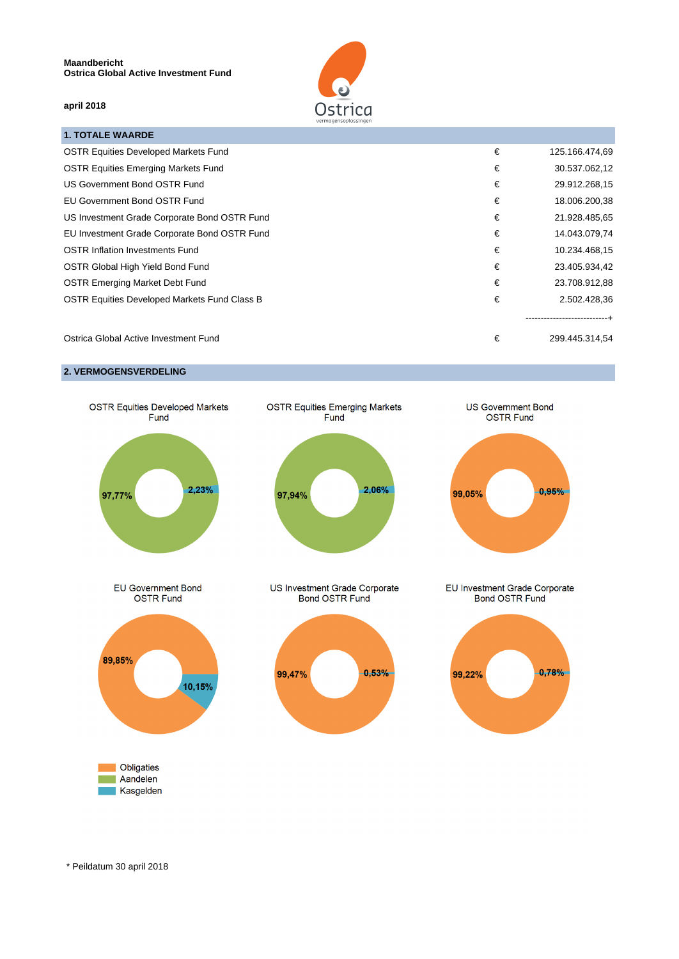

## **april 2018**

| <b>1. TOTALE WAARDE</b>                      |   |                           |
|----------------------------------------------|---|---------------------------|
| <b>OSTR Equities Developed Markets Fund</b>  | € | 125.166.474,69            |
| <b>OSTR Equities Emerging Markets Fund</b>   | € | 30.537.062,12             |
| US Government Bond OSTR Fund                 | € | 29.912.268,15             |
| <b>EU Government Bond OSTR Fund</b>          | € | 18.006.200,38             |
| US Investment Grade Corporate Bond OSTR Fund | € | 21.928.485,65             |
| EU Investment Grade Corporate Bond OSTR Fund | € | 14.043.079,74             |
| <b>OSTR Inflation Investments Fund</b>       | € | 10.234.468,15             |
| <b>OSTR Global High Yield Bond Fund</b>      | € | 23.405.934,42             |
| <b>OSTR Emerging Market Debt Fund</b>        | € | 23.708.912,88             |
| OSTR Equities Developed Markets Fund Class B | € | 2.502.428,36              |
|                                              |   | ------------------------- |

Ostrica Global Active Investment Fund **€** 299.445.314,54

## **2. VERMOGENSVERDELING**



\* Peildatum 30 april 2018